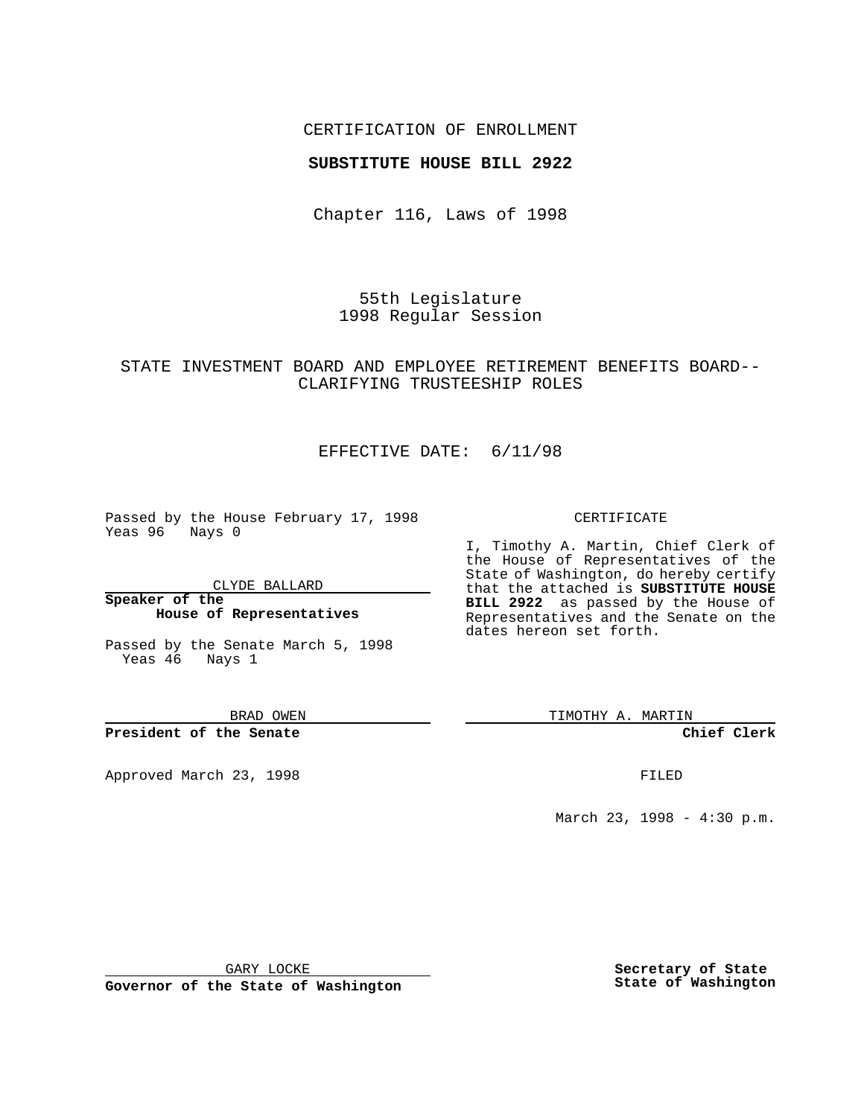## CERTIFICATION OF ENROLLMENT

### **SUBSTITUTE HOUSE BILL 2922**

Chapter 116, Laws of 1998

55th Legislature 1998 Regular Session

## STATE INVESTMENT BOARD AND EMPLOYEE RETIREMENT BENEFITS BOARD-- CLARIFYING TRUSTEESHIP ROLES

# EFFECTIVE DATE: 6/11/98

Passed by the House February 17, 1998 Yeas 96 Nays 0

CLYDE BALLARD

**Speaker of the House of Representatives**

Passed by the Senate March 5, 1998 Yeas 46 Nays 1

BRAD OWEN

**President of the Senate**

Approved March 23, 1998 **FILED** 

### CERTIFICATE

I, Timothy A. Martin, Chief Clerk of the House of Representatives of the State of Washington, do hereby certify that the attached is **SUBSTITUTE HOUSE BILL 2922** as passed by the House of Representatives and the Senate on the dates hereon set forth.

TIMOTHY A. MARTIN

**Chief Clerk**

March 23, 1998 - 4:30 p.m.

GARY LOCKE

**Governor of the State of Washington**

**Secretary of State State of Washington**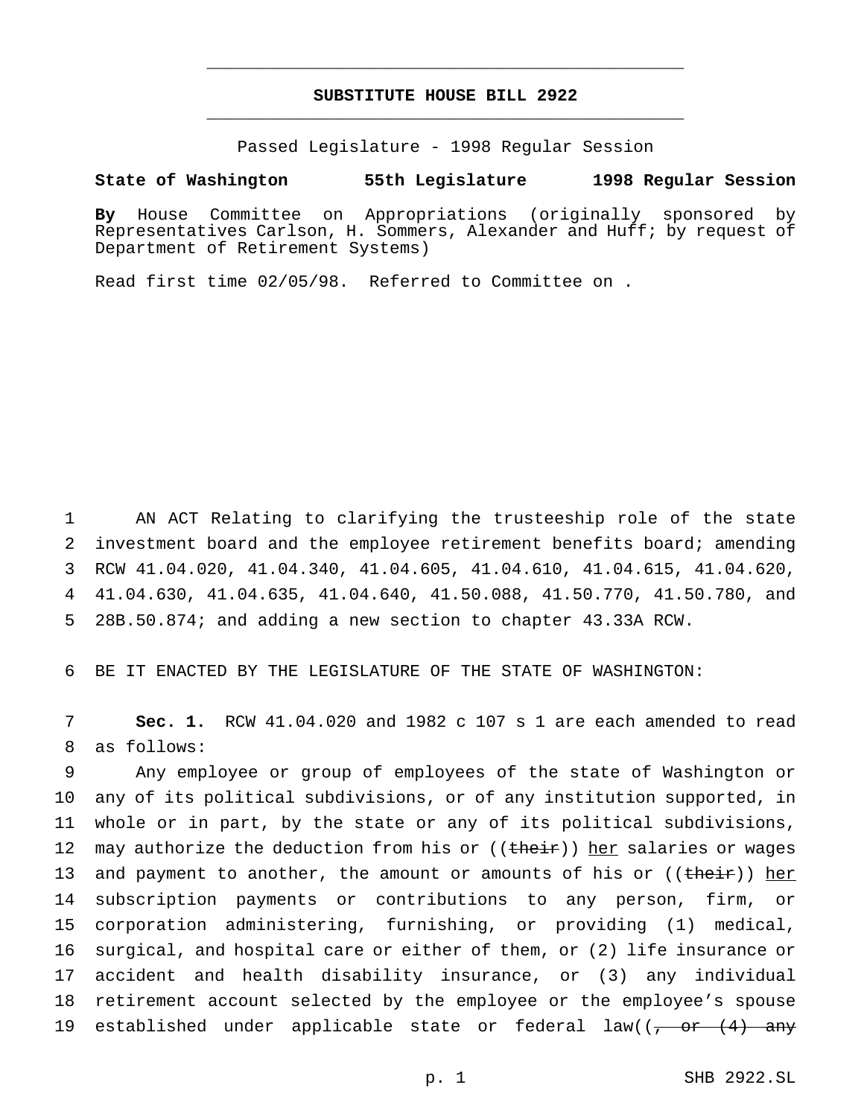# **SUBSTITUTE HOUSE BILL 2922** \_\_\_\_\_\_\_\_\_\_\_\_\_\_\_\_\_\_\_\_\_\_\_\_\_\_\_\_\_\_\_\_\_\_\_\_\_\_\_\_\_\_\_\_\_\_\_

\_\_\_\_\_\_\_\_\_\_\_\_\_\_\_\_\_\_\_\_\_\_\_\_\_\_\_\_\_\_\_\_\_\_\_\_\_\_\_\_\_\_\_\_\_\_\_

Passed Legislature - 1998 Regular Session

### **State of Washington 55th Legislature 1998 Regular Session**

**By** House Committee on Appropriations (originally sponsored by Representatives Carlson, H. Sommers, Alexander and Huff; by request of Department of Retirement Systems)

Read first time 02/05/98. Referred to Committee on .

 AN ACT Relating to clarifying the trusteeship role of the state investment board and the employee retirement benefits board; amending RCW 41.04.020, 41.04.340, 41.04.605, 41.04.610, 41.04.615, 41.04.620, 41.04.630, 41.04.635, 41.04.640, 41.50.088, 41.50.770, 41.50.780, and 28B.50.874; and adding a new section to chapter 43.33A RCW.

6 BE IT ENACTED BY THE LEGISLATURE OF THE STATE OF WASHINGTON:

7 **Sec. 1.** RCW 41.04.020 and 1982 c 107 s 1 are each amended to read 8 as follows:

 Any employee or group of employees of the state of Washington or any of its political subdivisions, or of any institution supported, in whole or in part, by the state or any of its political subdivisions, 12 may authorize the deduction from his or ((their)) her salaries or wages 13 and payment to another, the amount or amounts of his or ((their)) her subscription payments or contributions to any person, firm, or corporation administering, furnishing, or providing (1) medical, surgical, and hospital care or either of them, or (2) life insurance or accident and health disability insurance, or (3) any individual retirement account selected by the employee or the employee's spouse 19 established under applicable state or federal  $law((-\sigma r)(4)$  any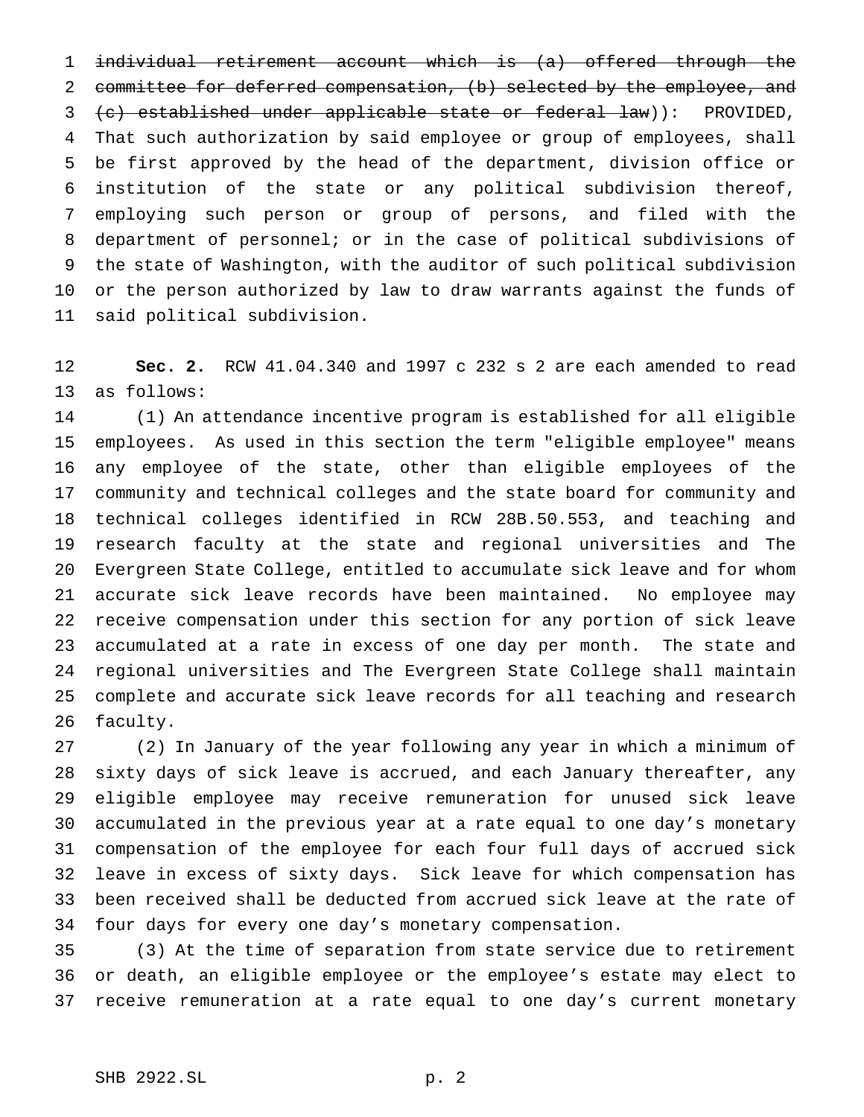individual retirement account which is (a) offered through the committee for deferred compensation, (b) selected by the employee, and (c) established under applicable state or federal law)): PROVIDED, That such authorization by said employee or group of employees, shall be first approved by the head of the department, division office or institution of the state or any political subdivision thereof, employing such person or group of persons, and filed with the department of personnel; or in the case of political subdivisions of the state of Washington, with the auditor of such political subdivision or the person authorized by law to draw warrants against the funds of said political subdivision.

 **Sec. 2.** RCW 41.04.340 and 1997 c 232 s 2 are each amended to read as follows:

 (1) An attendance incentive program is established for all eligible employees. As used in this section the term "eligible employee" means any employee of the state, other than eligible employees of the community and technical colleges and the state board for community and technical colleges identified in RCW 28B.50.553, and teaching and research faculty at the state and regional universities and The Evergreen State College, entitled to accumulate sick leave and for whom accurate sick leave records have been maintained. No employee may receive compensation under this section for any portion of sick leave accumulated at a rate in excess of one day per month. The state and regional universities and The Evergreen State College shall maintain complete and accurate sick leave records for all teaching and research faculty.

 (2) In January of the year following any year in which a minimum of sixty days of sick leave is accrued, and each January thereafter, any eligible employee may receive remuneration for unused sick leave accumulated in the previous year at a rate equal to one day's monetary compensation of the employee for each four full days of accrued sick leave in excess of sixty days. Sick leave for which compensation has been received shall be deducted from accrued sick leave at the rate of four days for every one day's monetary compensation.

 (3) At the time of separation from state service due to retirement or death, an eligible employee or the employee's estate may elect to receive remuneration at a rate equal to one day's current monetary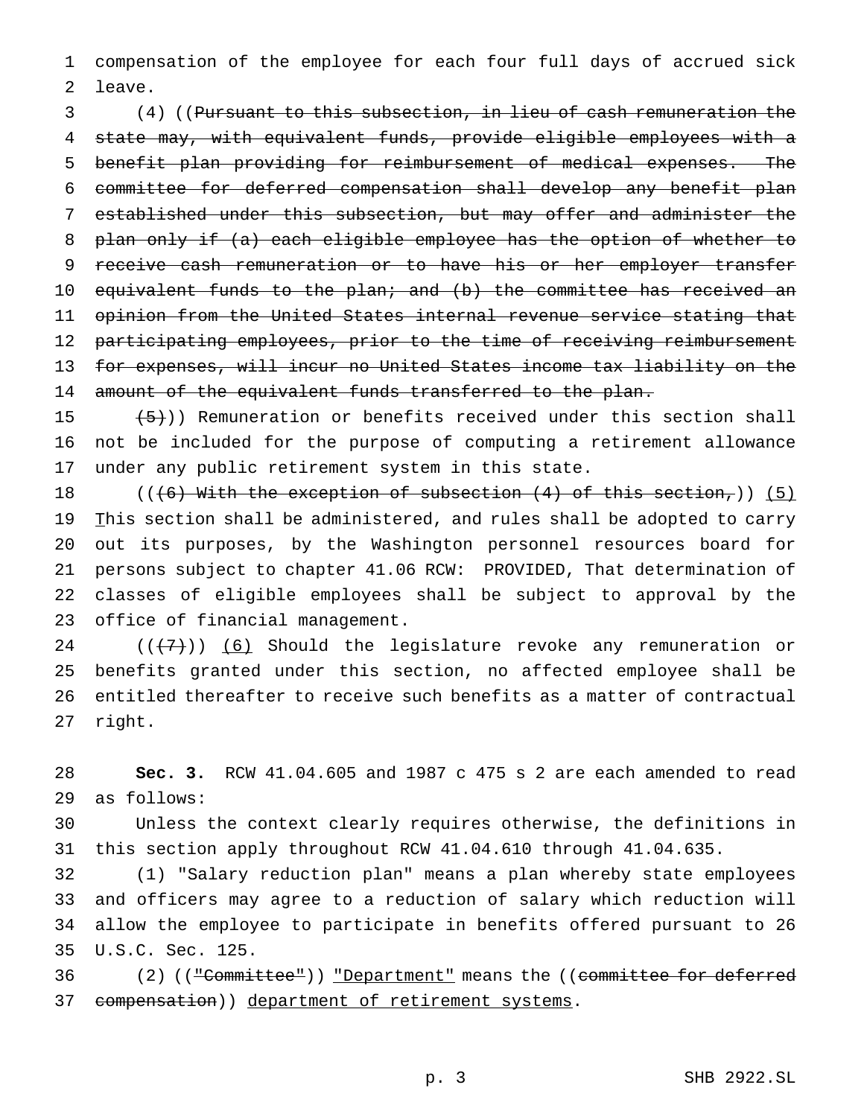compensation of the employee for each four full days of accrued sick leave.

 (4) ((Pursuant to this subsection, in lieu of cash remuneration the state may, with equivalent funds, provide eligible employees with a benefit plan providing for reimbursement of medical expenses. The committee for deferred compensation shall develop any benefit plan established under this subsection, but may offer and administer the plan only if (a) each eligible employee has the option of whether to 9 receive cash remuneration or to have his or her employer transfer 10 equivalent funds to the plan; and (b) the committee has received an opinion from the United States internal revenue service stating that 12 participating employees, prior to the time of receiving reimbursement 13 for expenses, will incur no United States income tax liability on the 14 amount of the equivalent funds transferred to the plan.

15  $(5)$ )) Remuneration or benefits received under this section shall not be included for the purpose of computing a retirement allowance under any public retirement system in this state.

18 (((6) With the exception of subsection (4) of this section,)) (5) 19 This section shall be administered, and rules shall be adopted to carry out its purposes, by the Washington personnel resources board for persons subject to chapter 41.06 RCW: PROVIDED, That determination of classes of eligible employees shall be subject to approval by the office of financial management.

 $((+7))$  (6) Should the legislature revoke any remuneration or benefits granted under this section, no affected employee shall be entitled thereafter to receive such benefits as a matter of contractual right.

 **Sec. 3.** RCW 41.04.605 and 1987 c 475 s 2 are each amended to read as follows:

 Unless the context clearly requires otherwise, the definitions in this section apply throughout RCW 41.04.610 through 41.04.635.

 (1) "Salary reduction plan" means a plan whereby state employees and officers may agree to a reduction of salary which reduction will allow the employee to participate in benefits offered pursuant to 26 U.S.C. Sec. 125.

 (2) (("Committee")) "Department" means the ((committee for deferred 37 compensation)) department of retirement systems.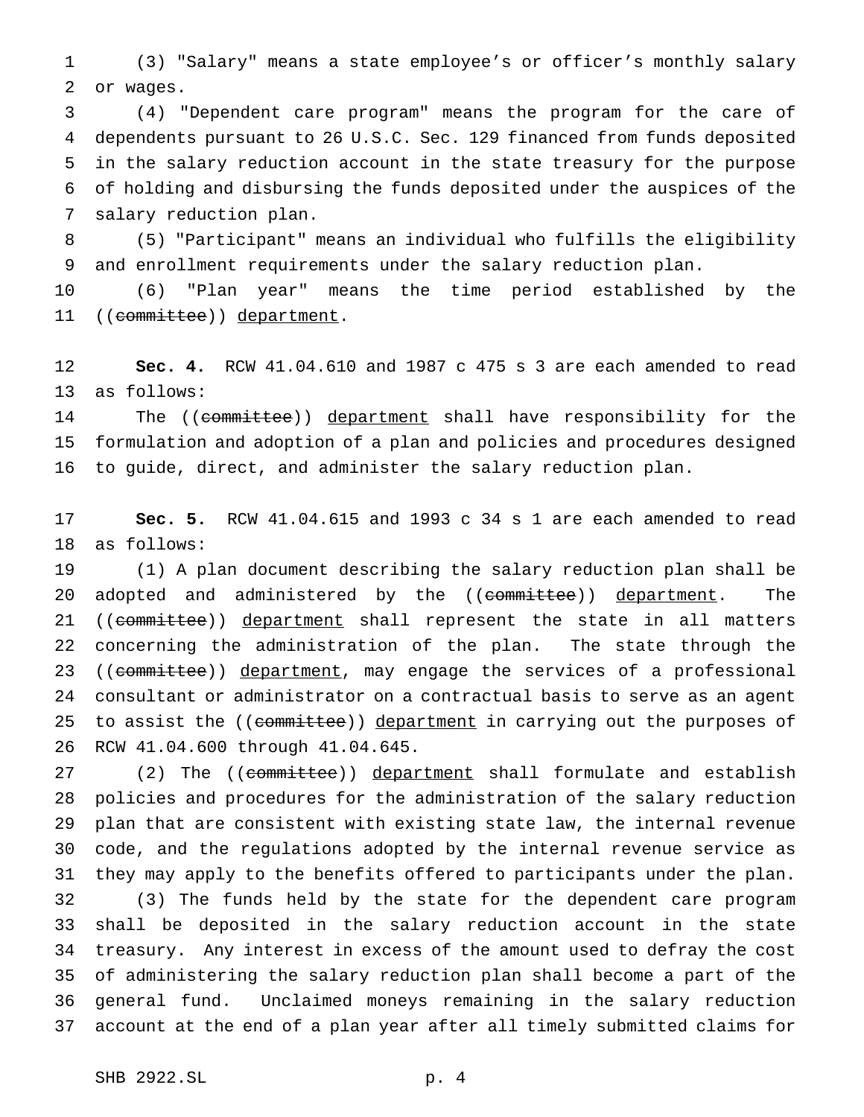(3) "Salary" means a state employee's or officer's monthly salary or wages.

 (4) "Dependent care program" means the program for the care of dependents pursuant to 26 U.S.C. Sec. 129 financed from funds deposited in the salary reduction account in the state treasury for the purpose of holding and disbursing the funds deposited under the auspices of the salary reduction plan.

 (5) "Participant" means an individual who fulfills the eligibility and enrollment requirements under the salary reduction plan.

 (6) "Plan year" means the time period established by the 11 ((committee)) department.

 **Sec. 4.** RCW 41.04.610 and 1987 c 475 s 3 are each amended to read as follows:

14 The ((committee)) department shall have responsibility for the formulation and adoption of a plan and policies and procedures designed to guide, direct, and administer the salary reduction plan.

 **Sec. 5.** RCW 41.04.615 and 1993 c 34 s 1 are each amended to read as follows:

 (1) A plan document describing the salary reduction plan shall be 20 adopted and administered by the ((committee)) department. The 21 ((committee)) department shall represent the state in all matters concerning the administration of the plan. The state through the 23 ((committee)) department, may engage the services of a professional consultant or administrator on a contractual basis to serve as an agent 25 to assist the ((committee)) department in carrying out the purposes of RCW 41.04.600 through 41.04.645.

27 (2) The ((committee)) department shall formulate and establish policies and procedures for the administration of the salary reduction plan that are consistent with existing state law, the internal revenue code, and the regulations adopted by the internal revenue service as they may apply to the benefits offered to participants under the plan. (3) The funds held by the state for the dependent care program shall be deposited in the salary reduction account in the state treasury. Any interest in excess of the amount used to defray the cost of administering the salary reduction plan shall become a part of the general fund. Unclaimed moneys remaining in the salary reduction

account at the end of a plan year after all timely submitted claims for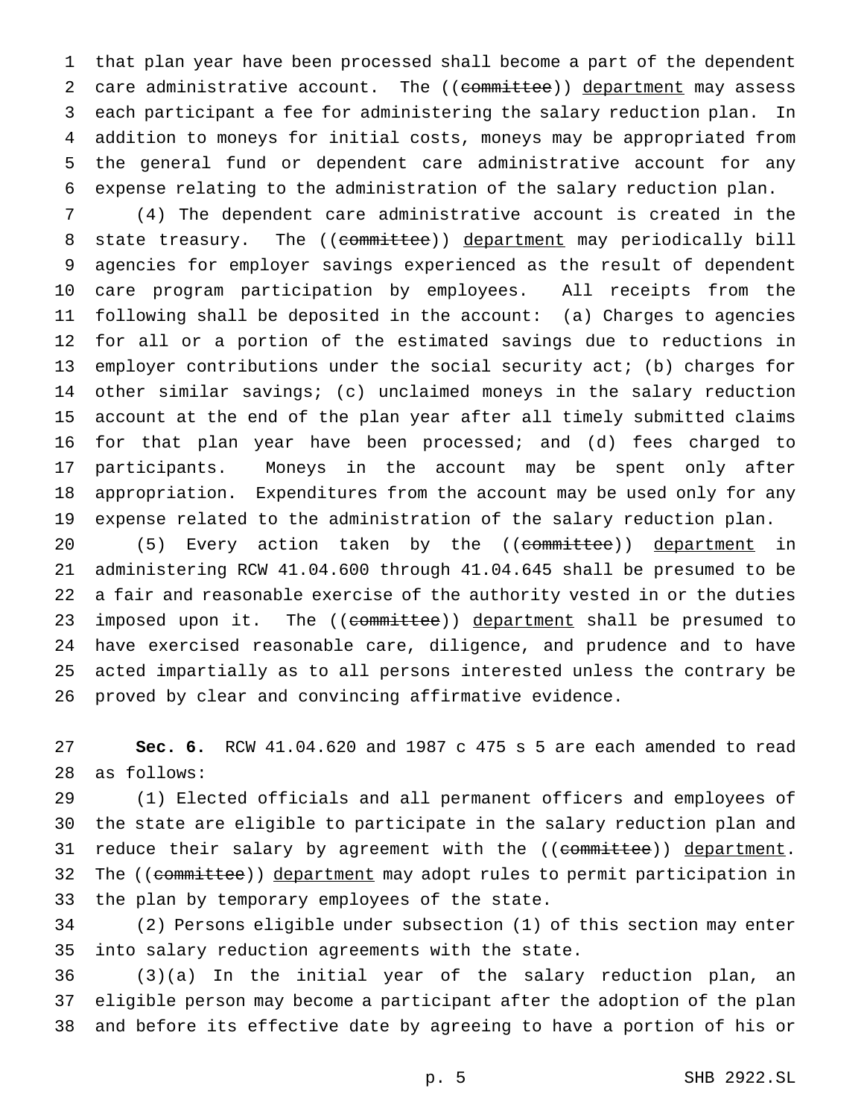that plan year have been processed shall become a part of the dependent 2 care administrative account. The ((committee)) department may assess each participant a fee for administering the salary reduction plan. In addition to moneys for initial costs, moneys may be appropriated from the general fund or dependent care administrative account for any expense relating to the administration of the salary reduction plan.

 (4) The dependent care administrative account is created in the 8 state treasury. The ((committee)) department may periodically bill agencies for employer savings experienced as the result of dependent care program participation by employees. All receipts from the following shall be deposited in the account: (a) Charges to agencies for all or a portion of the estimated savings due to reductions in employer contributions under the social security act; (b) charges for other similar savings; (c) unclaimed moneys in the salary reduction account at the end of the plan year after all timely submitted claims for that plan year have been processed; and (d) fees charged to participants. Moneys in the account may be spent only after appropriation. Expenditures from the account may be used only for any expense related to the administration of the salary reduction plan.

20 (5) Every action taken by the ((committee)) department in administering RCW 41.04.600 through 41.04.645 shall be presumed to be a fair and reasonable exercise of the authority vested in or the duties 23 imposed upon it. The ((committee)) department shall be presumed to have exercised reasonable care, diligence, and prudence and to have acted impartially as to all persons interested unless the contrary be proved by clear and convincing affirmative evidence.

 **Sec. 6.** RCW 41.04.620 and 1987 c 475 s 5 are each amended to read as follows:

 (1) Elected officials and all permanent officers and employees of the state are eligible to participate in the salary reduction plan and 31 reduce their salary by agreement with the ((committee)) department. 32 The ((committee)) department may adopt rules to permit participation in the plan by temporary employees of the state.

 (2) Persons eligible under subsection (1) of this section may enter into salary reduction agreements with the state.

 (3)(a) In the initial year of the salary reduction plan, an eligible person may become a participant after the adoption of the plan and before its effective date by agreeing to have a portion of his or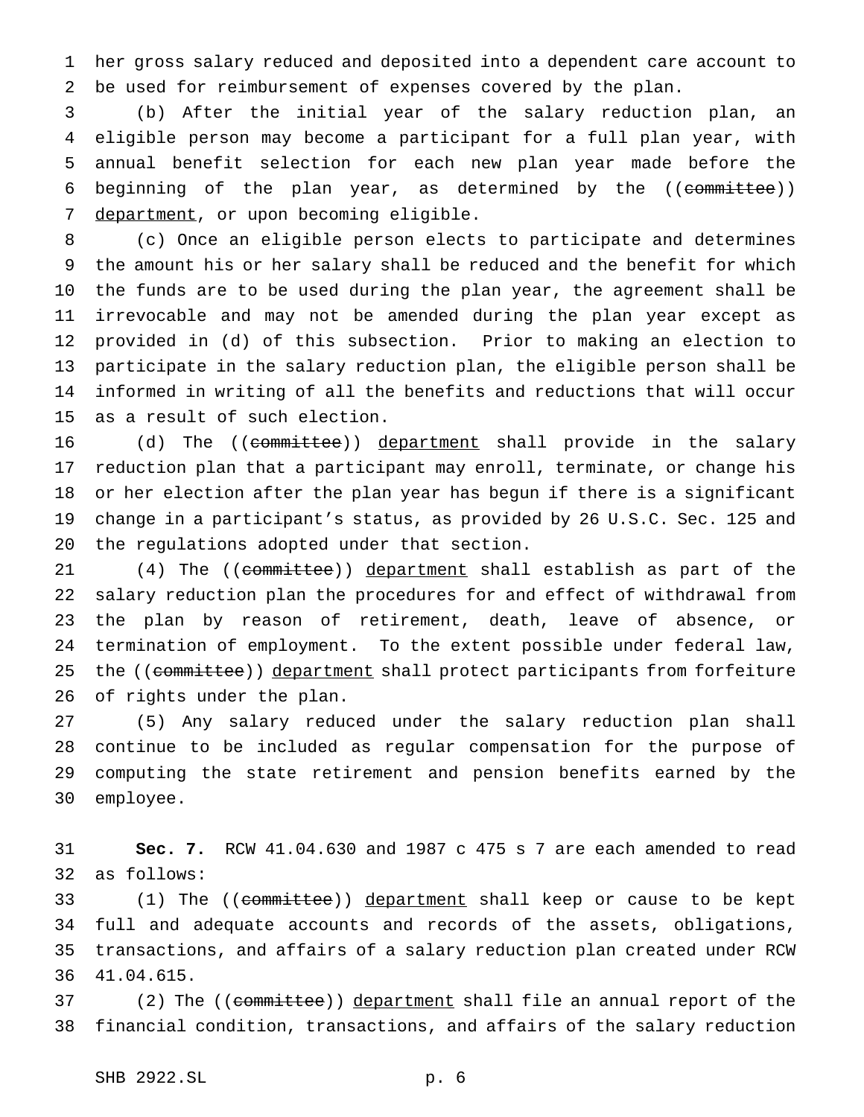her gross salary reduced and deposited into a dependent care account to be used for reimbursement of expenses covered by the plan.

 (b) After the initial year of the salary reduction plan, an eligible person may become a participant for a full plan year, with annual benefit selection for each new plan year made before the beginning of the plan year, as determined by the ((committee)) 7 department, or upon becoming eligible.

 (c) Once an eligible person elects to participate and determines the amount his or her salary shall be reduced and the benefit for which the funds are to be used during the plan year, the agreement shall be irrevocable and may not be amended during the plan year except as provided in (d) of this subsection. Prior to making an election to participate in the salary reduction plan, the eligible person shall be informed in writing of all the benefits and reductions that will occur as a result of such election.

16 (d) The ((committee)) department shall provide in the salary reduction plan that a participant may enroll, terminate, or change his or her election after the plan year has begun if there is a significant change in a participant's status, as provided by 26 U.S.C. Sec. 125 and the regulations adopted under that section.

21 (4) The ((committee)) department shall establish as part of the salary reduction plan the procedures for and effect of withdrawal from the plan by reason of retirement, death, leave of absence, or termination of employment. To the extent possible under federal law, 25 the ((committee)) department shall protect participants from forfeiture of rights under the plan.

 (5) Any salary reduced under the salary reduction plan shall continue to be included as regular compensation for the purpose of computing the state retirement and pension benefits earned by the employee.

 **Sec. 7.** RCW 41.04.630 and 1987 c 475 s 7 are each amended to read as follows:

33 (1) The ((committee)) department shall keep or cause to be kept full and adequate accounts and records of the assets, obligations, transactions, and affairs of a salary reduction plan created under RCW 41.04.615.

37 (2) The ((committee)) department shall file an annual report of the financial condition, transactions, and affairs of the salary reduction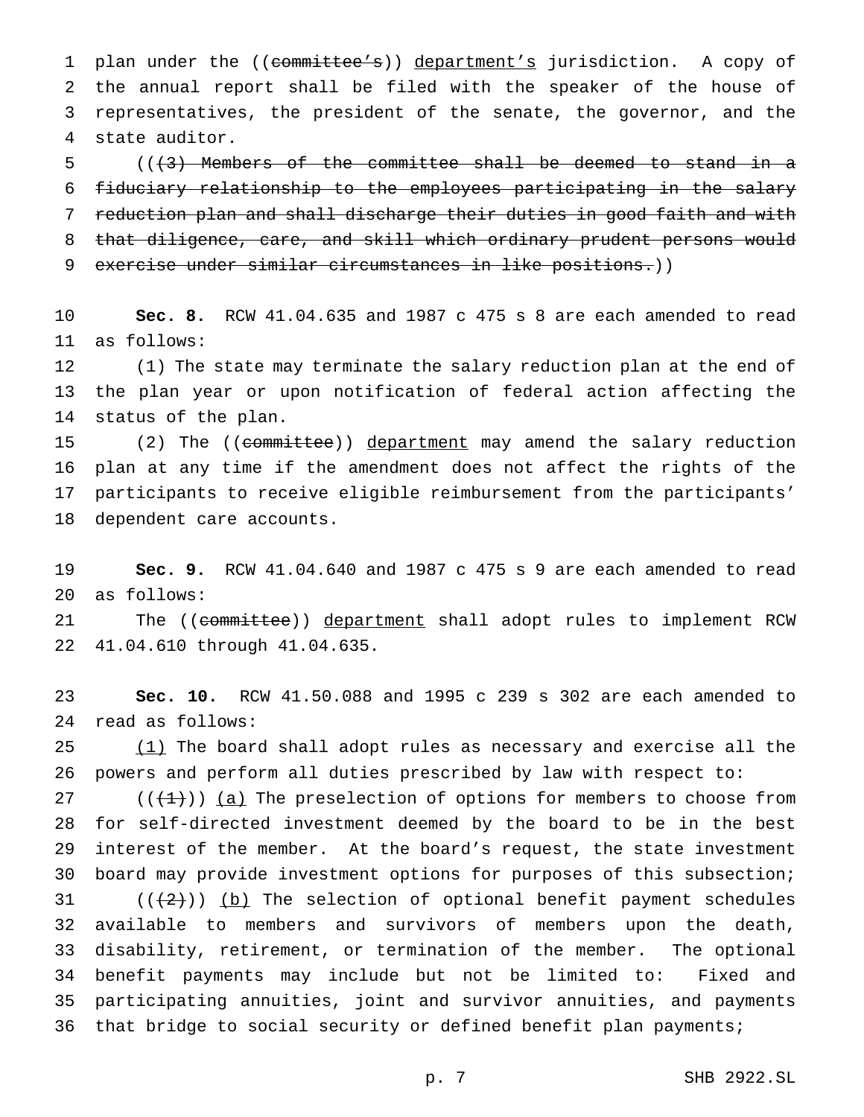1 plan under the ((committee's)) department's jurisdiction. A copy of the annual report shall be filed with the speaker of the house of representatives, the president of the senate, the governor, and the state auditor.

 $((3)$  Members of the committee shall be deemed to stand in a fiduciary relationship to the employees participating in the salary reduction plan and shall discharge their duties in good faith and with that diligence, care, and skill which ordinary prudent persons would 9 exercise under similar circumstances in like positions.))

 **Sec. 8.** RCW 41.04.635 and 1987 c 475 s 8 are each amended to read as follows:

 (1) The state may terminate the salary reduction plan at the end of the plan year or upon notification of federal action affecting the status of the plan.

15 (2) The ((committee)) department may amend the salary reduction plan at any time if the amendment does not affect the rights of the participants to receive eligible reimbursement from the participants' dependent care accounts.

 **Sec. 9.** RCW 41.04.640 and 1987 c 475 s 9 are each amended to read as follows:

21 The ((committee)) department shall adopt rules to implement RCW 41.04.610 through 41.04.635.

 **Sec. 10.** RCW 41.50.088 and 1995 c 239 s 302 are each amended to read as follows:

 (1) The board shall adopt rules as necessary and exercise all the powers and perform all duties prescribed by law with respect to:

 $((+1))$   $(a)$  The preselection of options for members to choose from for self-directed investment deemed by the board to be in the best interest of the member. At the board's request, the state investment board may provide investment options for purposes of this subsection;  $((+2))$  (b) The selection of optional benefit payment schedules available to members and survivors of members upon the death, disability, retirement, or termination of the member. The optional benefit payments may include but not be limited to: Fixed and participating annuities, joint and survivor annuities, and payments that bridge to social security or defined benefit plan payments;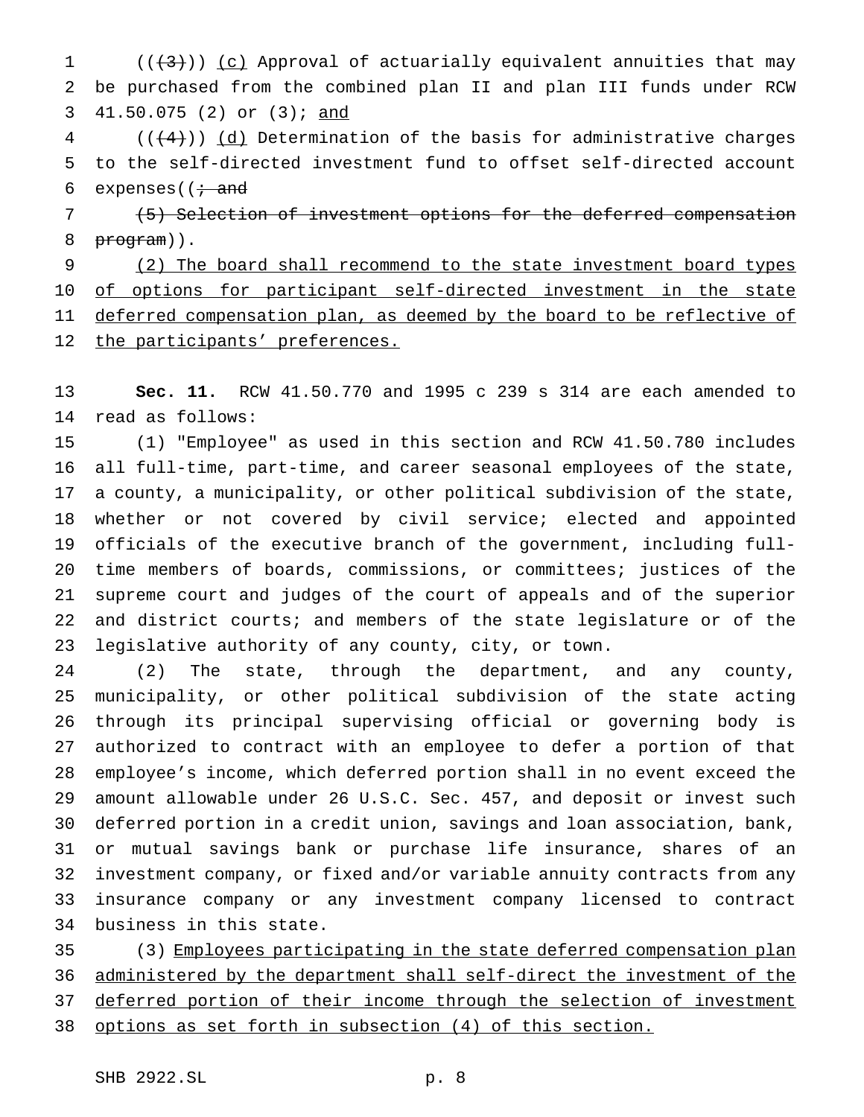1 ( $(\frac{1}{3})$ ) (c) Approval of actuarially equivalent annuities that may be purchased from the combined plan II and plan III funds under RCW 41.50.075 (2) or (3); and

 (( $(4)$ )) (d) Determination of the basis for administrative charges to the self-directed investment fund to offset self-directed account 6 expenses ( $\left(i + \text{and}\right)$ 

 (5) Selection of investment options for the deferred compensation 8 program)).

 (2) The board shall recommend to the state investment board types 10 of options for participant self-directed investment in the state 11 deferred compensation plan, as deemed by the board to be reflective of 12 the participants' preferences.

 **Sec. 11.** RCW 41.50.770 and 1995 c 239 s 314 are each amended to read as follows:

 (1) "Employee" as used in this section and RCW 41.50.780 includes all full-time, part-time, and career seasonal employees of the state, a county, a municipality, or other political subdivision of the state, whether or not covered by civil service; elected and appointed officials of the executive branch of the government, including full- time members of boards, commissions, or committees; justices of the supreme court and judges of the court of appeals and of the superior and district courts; and members of the state legislature or of the legislative authority of any county, city, or town.

 (2) The state, through the department, and any county, municipality, or other political subdivision of the state acting through its principal supervising official or governing body is authorized to contract with an employee to defer a portion of that employee's income, which deferred portion shall in no event exceed the amount allowable under 26 U.S.C. Sec. 457, and deposit or invest such deferred portion in a credit union, savings and loan association, bank, or mutual savings bank or purchase life insurance, shares of an investment company, or fixed and/or variable annuity contracts from any insurance company or any investment company licensed to contract business in this state.

35 (3) Employees participating in the state deferred compensation plan administered by the department shall self-direct the investment of the deferred portion of their income through the selection of investment options as set forth in subsection (4) of this section.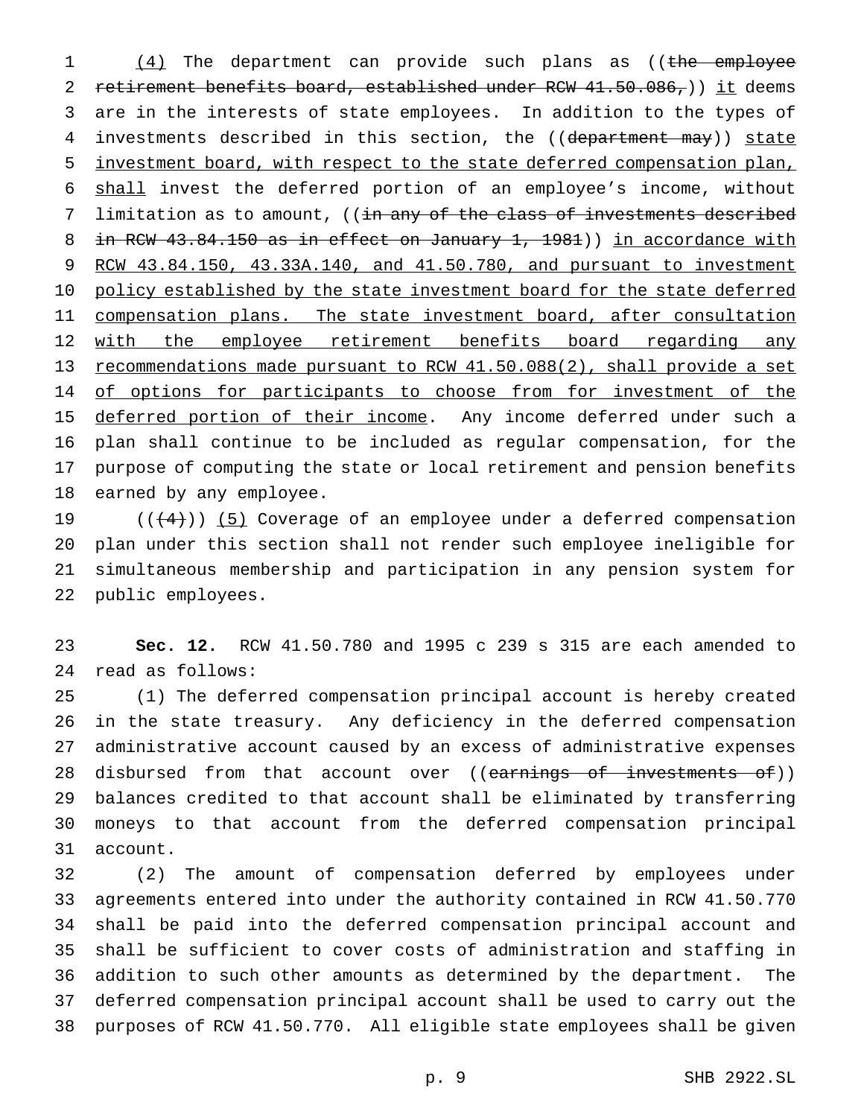1 (4) The department can provide such plans as ((the employee 2 retirement benefits board, established under RCW 41.50.086,)) it deems are in the interests of state employees. In addition to the types of 4 investments described in this section, the ((department may)) state investment board, with respect to the state deferred compensation plan, shall invest the deferred portion of an employee's income, without 7 limitation as to amount, ((in any of the class of investments described 8 in RCW 43.84.150 as in effect on January 1, 1981)) in accordance with RCW 43.84.150, 43.33A.140, and 41.50.780, and pursuant to investment 10 policy established by the state investment board for the state deferred 11 compensation plans. The state investment board, after consultation 12 with the employee retirement benefits board regarding any recommendations made pursuant to RCW 41.50.088(2), shall provide a set 14 of options for participants to choose from for investment of the 15 deferred portion of their income. Any income deferred under such a plan shall continue to be included as regular compensation, for the purpose of computing the state or local retirement and pension benefits earned by any employee.

 $((+4))$   $(5)$  Coverage of an employee under a deferred compensation plan under this section shall not render such employee ineligible for simultaneous membership and participation in any pension system for public employees.

 **Sec. 12.** RCW 41.50.780 and 1995 c 239 s 315 are each amended to read as follows:

 (1) The deferred compensation principal account is hereby created in the state treasury. Any deficiency in the deferred compensation administrative account caused by an excess of administrative expenses 28 disbursed from that account over ((earnings of investments of)) balances credited to that account shall be eliminated by transferring moneys to that account from the deferred compensation principal account.

 (2) The amount of compensation deferred by employees under agreements entered into under the authority contained in RCW 41.50.770 shall be paid into the deferred compensation principal account and shall be sufficient to cover costs of administration and staffing in addition to such other amounts as determined by the department. The deferred compensation principal account shall be used to carry out the purposes of RCW 41.50.770. All eligible state employees shall be given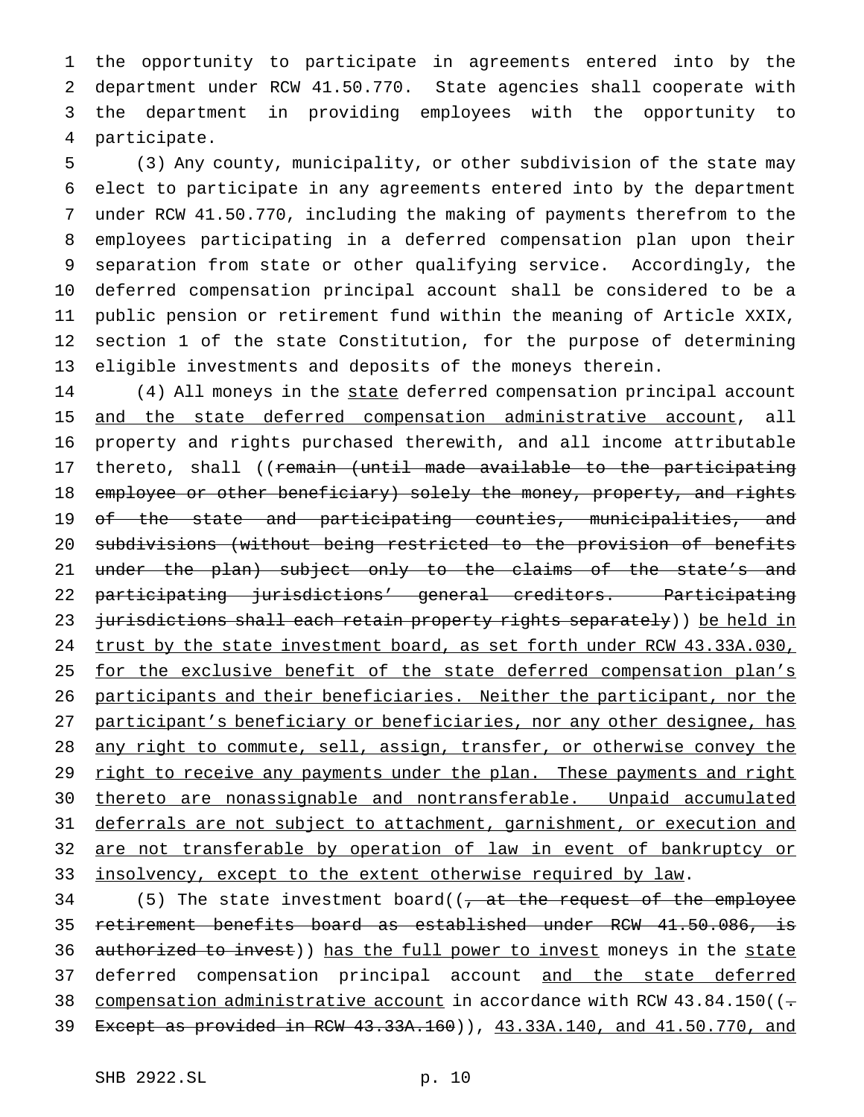the opportunity to participate in agreements entered into by the department under RCW 41.50.770. State agencies shall cooperate with the department in providing employees with the opportunity to participate.

 (3) Any county, municipality, or other subdivision of the state may elect to participate in any agreements entered into by the department under RCW 41.50.770, including the making of payments therefrom to the employees participating in a deferred compensation plan upon their separation from state or other qualifying service. Accordingly, the deferred compensation principal account shall be considered to be a public pension or retirement fund within the meaning of Article XXIX, section 1 of the state Constitution, for the purpose of determining eligible investments and deposits of the moneys therein.

14 (4) All moneys in the state deferred compensation principal account 15 and the state deferred compensation administrative account, all 16 property and rights purchased therewith, and all income attributable 17 thereto, shall ((remain (until made available to the participating 18 employee or other beneficiary) solely the money, property, and rights 19 of the state and participating counties, municipalities, and 20 subdivisions (without being restricted to the provision of benefits 21 under the plan) subject only to the claims of the state's and 22 participating jurisdictions' general creditors. Participating 23 jurisdictions shall each retain property rights separately)) be held in 24 trust by the state investment board, as set forth under RCW 43.33A.030, 25 for the exclusive benefit of the state deferred compensation plan's 26 participants and their beneficiaries. Neither the participant, nor the 27 participant's beneficiary or beneficiaries, nor any other designee, has 28 any right to commute, sell, assign, transfer, or otherwise convey the 29 right to receive any payments under the plan. These payments and right 30 thereto are nonassignable and nontransferable. Unpaid accumulated 31 deferrals are not subject to attachment, garnishment, or execution and 32 are not transferable by operation of law in event of bankruptcy or 33 insolvency, except to the extent otherwise required by law.

34 (5) The state investment board( $(-$  at the request of the employee 35 retirement benefits board as established under RCW 41.50.086, is 36 authorized to invest)) has the full power to invest moneys in the state 37 deferred compensation principal account and the state deferred 38 compensation administrative account in accordance with RCW  $43.84.150$  ( $(-$ 39 Except as provided in RCW 43.33A.160)), 43.33A.140, and 41.50.770, and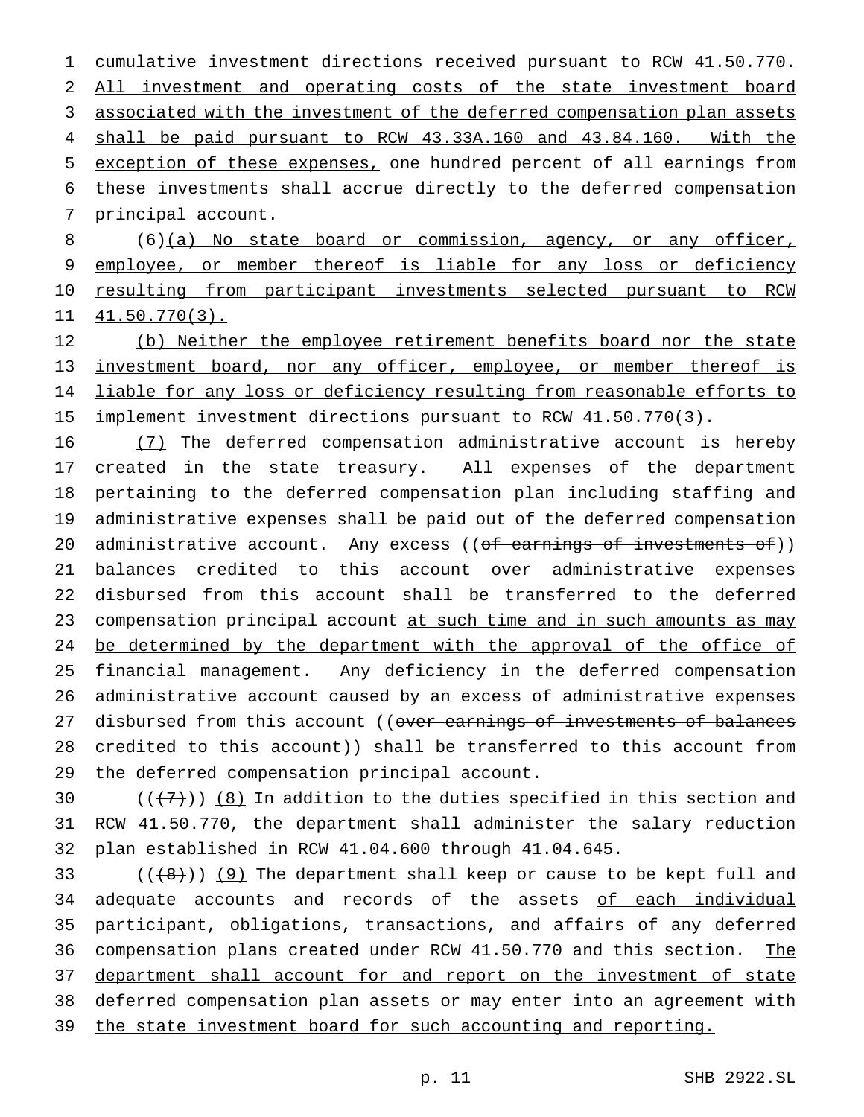cumulative investment directions received pursuant to RCW 41.50.770. All investment and operating costs of the state investment board 3 associated with the investment of the deferred compensation plan assets shall be paid pursuant to RCW 43.33A.160 and 43.84.160. With the exception of these expenses, one hundred percent of all earnings from these investments shall accrue directly to the deferred compensation principal account.

 (6)(a) No state board or commission, agency, or any officer, employee, or member thereof is liable for any loss or deficiency resulting from participant investments selected pursuant to RCW 41.50.770(3).

 (b) Neither the employee retirement benefits board nor the state investment board, nor any officer, employee, or member thereof is 14 liable for any loss or deficiency resulting from reasonable efforts to implement investment directions pursuant to RCW 41.50.770(3).

 (7) The deferred compensation administrative account is hereby created in the state treasury. All expenses of the department pertaining to the deferred compensation plan including staffing and administrative expenses shall be paid out of the deferred compensation 20 administrative account. Any excess ((of earnings of investments of)) balances credited to this account over administrative expenses disbursed from this account shall be transferred to the deferred 23 compensation principal account at such time and in such amounts as may 24 be determined by the department with the approval of the office of 25 financial management. Any deficiency in the deferred compensation administrative account caused by an excess of administrative expenses 27 disbursed from this account ((over earnings of investments of balances 28 credited to this account)) shall be transferred to this account from the deferred compensation principal account.

30  $((+7))$   $(8)$  In addition to the duties specified in this section and RCW 41.50.770, the department shall administer the salary reduction plan established in RCW 41.04.600 through 41.04.645.

33  $((\{8\}) \cup 9)$  The department shall keep or cause to be kept full and 34 adequate accounts and records of the assets of each individual participant, obligations, transactions, and affairs of any deferred 36 compensation plans created under RCW 41.50.770 and this section. The 37 department shall account for and report on the investment of state deferred compensation plan assets or may enter into an agreement with the state investment board for such accounting and reporting.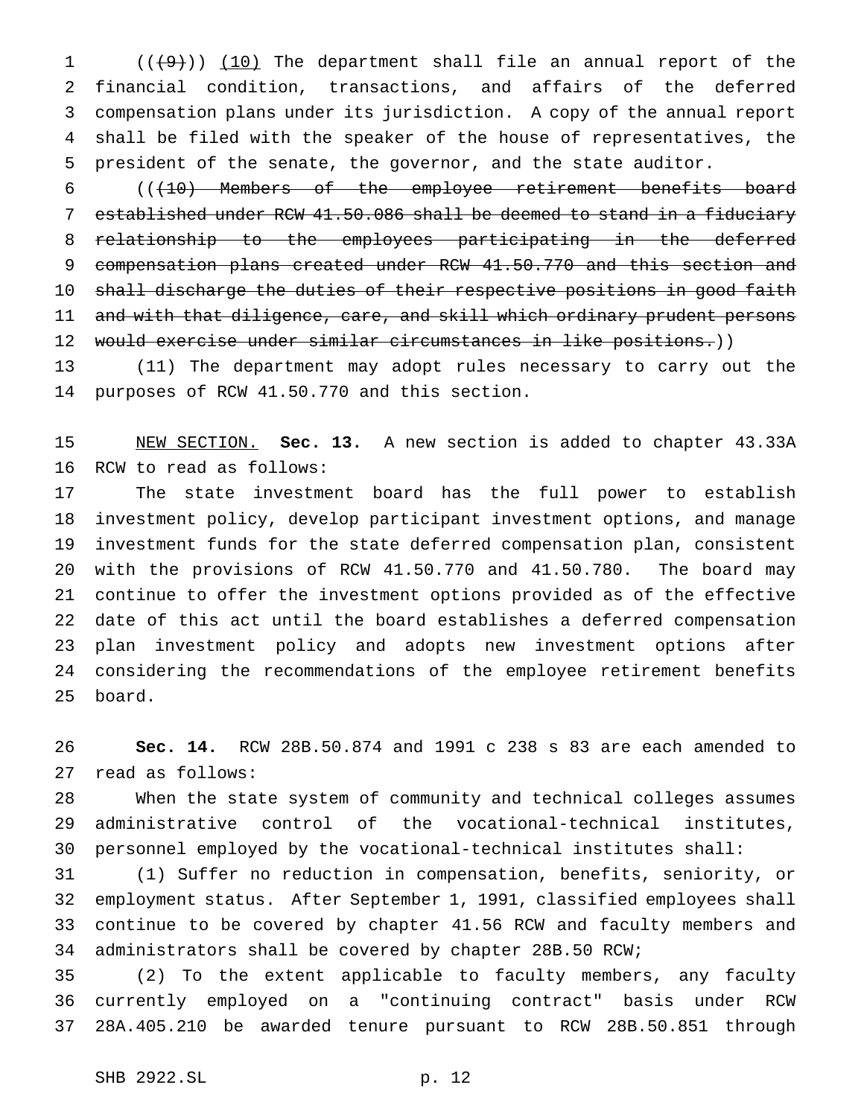1 (((9))) (10) The department shall file an annual report of the financial condition, transactions, and affairs of the deferred compensation plans under its jurisdiction. A copy of the annual report shall be filed with the speaker of the house of representatives, the president of the senate, the governor, and the state auditor.

 (((10) Members of the employee retirement benefits board established under RCW 41.50.086 shall be deemed to stand in a fiduciary relationship to the employees participating in the deferred 9 compensation plans created under RCW 41.50.770 and this section and shall discharge the duties of their respective positions in good faith and with that diligence, care, and skill which ordinary prudent persons 12 would exercise under similar circumstances in like positions.))

 (11) The department may adopt rules necessary to carry out the purposes of RCW 41.50.770 and this section.

 NEW SECTION. **Sec. 13.** A new section is added to chapter 43.33A RCW to read as follows:

 The state investment board has the full power to establish investment policy, develop participant investment options, and manage investment funds for the state deferred compensation plan, consistent with the provisions of RCW 41.50.770 and 41.50.780. The board may continue to offer the investment options provided as of the effective date of this act until the board establishes a deferred compensation plan investment policy and adopts new investment options after considering the recommendations of the employee retirement benefits board.

 **Sec. 14.** RCW 28B.50.874 and 1991 c 238 s 83 are each amended to read as follows:

 When the state system of community and technical colleges assumes administrative control of the vocational-technical institutes, personnel employed by the vocational-technical institutes shall:

 (1) Suffer no reduction in compensation, benefits, seniority, or employment status. After September 1, 1991, classified employees shall continue to be covered by chapter 41.56 RCW and faculty members and administrators shall be covered by chapter 28B.50 RCW;

 (2) To the extent applicable to faculty members, any faculty currently employed on a "continuing contract" basis under RCW 28A.405.210 be awarded tenure pursuant to RCW 28B.50.851 through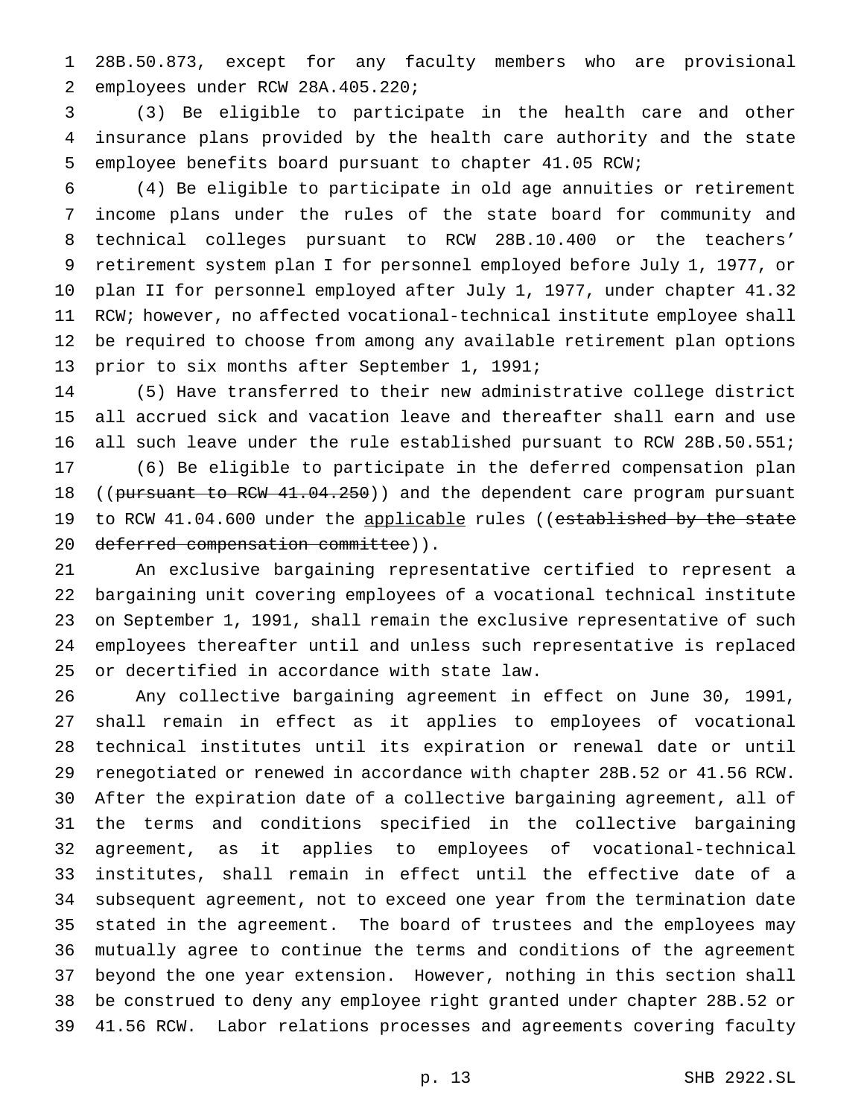28B.50.873, except for any faculty members who are provisional employees under RCW 28A.405.220;

 (3) Be eligible to participate in the health care and other insurance plans provided by the health care authority and the state employee benefits board pursuant to chapter 41.05 RCW;

 (4) Be eligible to participate in old age annuities or retirement income plans under the rules of the state board for community and technical colleges pursuant to RCW 28B.10.400 or the teachers' retirement system plan I for personnel employed before July 1, 1977, or plan II for personnel employed after July 1, 1977, under chapter 41.32 RCW; however, no affected vocational-technical institute employee shall be required to choose from among any available retirement plan options prior to six months after September 1, 1991;

 (5) Have transferred to their new administrative college district all accrued sick and vacation leave and thereafter shall earn and use all such leave under the rule established pursuant to RCW 28B.50.551;

 (6) Be eligible to participate in the deferred compensation plan 18 ((pursuant to RCW 41.04.250)) and the dependent care program pursuant 19 to RCW 41.04.600 under the applicable rules ((established by the state 20 deferred compensation committee)).

 An exclusive bargaining representative certified to represent a bargaining unit covering employees of a vocational technical institute on September 1, 1991, shall remain the exclusive representative of such employees thereafter until and unless such representative is replaced or decertified in accordance with state law.

 Any collective bargaining agreement in effect on June 30, 1991, shall remain in effect as it applies to employees of vocational technical institutes until its expiration or renewal date or until renegotiated or renewed in accordance with chapter 28B.52 or 41.56 RCW. After the expiration date of a collective bargaining agreement, all of the terms and conditions specified in the collective bargaining agreement, as it applies to employees of vocational-technical institutes, shall remain in effect until the effective date of a subsequent agreement, not to exceed one year from the termination date stated in the agreement. The board of trustees and the employees may mutually agree to continue the terms and conditions of the agreement beyond the one year extension. However, nothing in this section shall be construed to deny any employee right granted under chapter 28B.52 or 41.56 RCW. Labor relations processes and agreements covering faculty